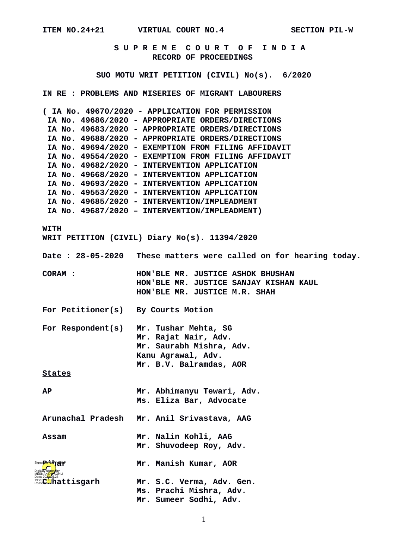**S U P R E M E C O U R T O F I N D I A RECORD OF PROCEEDINGS**

**SUO MOTU WRIT PETITION (CIVIL) No(s). 6/2020**

**IN RE : PROBLEMS AND MISERIES OF MIGRANT LABOURERS** 

**( IA No. 49670/2020 - APPLICATION FOR PERMISSION IA No. 49686/2020 - APPROPRIATE ORDERS/DIRECTIONS IA No. 49683/2020 - APPROPRIATE ORDERS/DIRECTIONS IA No. 49688/2020 - APPROPRIATE ORDERS/DIRECTIONS IA No. 49694/2020 - EXEMPTION FROM FILING AFFIDAVIT IA No. 49554/2020 - EXEMPTION FROM FILING AFFIDAVIT IA No. 49682/2020 - INTERVENTION APPLICATION IA No. 49668/2020 - INTERVENTION APPLICATION IA No. 49693/2020 - INTERVENTION APPLICATION IA No. 49553/2020 - INTERVENTION APPLICATION IA No. 49685/2020 - INTERVENTION/IMPLEADMENT IA No. 49687/2020 – INTERVENTION/IMPLEADMENT) WITH WRIT PETITION (CIVIL) Diary No(s). 11394/2020 Date : 28-05-2020 These matters were called on for hearing today. CORAM : HON'BLE MR. JUSTICE ASHOK BHUSHAN HON'BLE MR. JUSTICE SANJAY KISHAN KAUL HON'BLE MR. JUSTICE M.R. SHAH For Petitioner(s) By Courts Motion For Respondent(s) Mr. Tushar Mehta, SG Mr. Rajat Nair, Adv. Mr. Saurabh Mishra, Adv. Kanu Agrawal, Adv. Mr. B.V. Balramdas, AOR States AP Mr. Abhimanyu Tewari, Adv. Ms. Eliza Bar, Advocate Arunachal Pradesh Mr. Anil Srivastava, AAG Assam Mr. Nalin Kohli, AAG Mr. Shuvodeep Roy, Adv. Bihar Mr. Manish Kumar, AOR Chhattisgarh Mr. S.C. Verma, Adv. Gen. Ms. Prachi Mishra, Adv. Mr. Sumeer Sodhi, Adv.** Digitally signed by<br>MEENAKSHI KOHLI<br>Date: 202<mark>9.0</mark>5.28 19:23<sup>29</sup> IST<br>Reason: Signa**Perioty</u> Aif**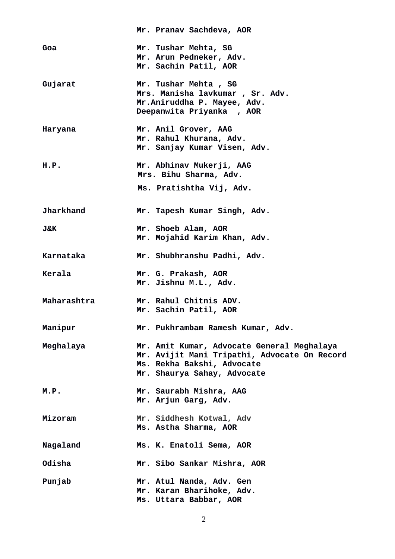|                  | Mr. Pranav Sachdeva, AOR                                                                                                                                |
|------------------|---------------------------------------------------------------------------------------------------------------------------------------------------------|
| Goa              | Mr. Tushar Mehta, SG<br>Mr. Arun Pedneker, Adv.<br>Mr. Sachin Patil, AOR                                                                                |
| Gujarat          | Mr. Tushar Mehta, SG<br>Mrs. Manisha lavkumar , Sr. Adv.<br>Mr.Aniruddha P. Mayee, Adv.<br>Deepanwita Priyanka, AOR                                     |
| Haryana          | Mr. Anil Grover, AAG<br>Mr. Rahul Khurana, Adv.<br>Mr. Sanjay Kumar Visen, Adv.                                                                         |
| <b>H.P.</b>      | Mr. Abhinav Mukerji, AAG<br>Mrs. Bihu Sharma, Adv.                                                                                                      |
|                  | Ms. Pratishtha Vij, Adv.                                                                                                                                |
| <b>Jharkhand</b> | Mr. Tapesh Kumar Singh, Adv.                                                                                                                            |
| J&K              | Mr. Shoeb Alam, AOR<br>Mr. Mojahid Karim Khan, Adv.                                                                                                     |
| Karnataka        | Mr. Shubhranshu Padhi, Adv.                                                                                                                             |
| Kerala           | Mr. G. Prakash, AOR<br>Mr. Jishnu M.L., Adv.                                                                                                            |
| Maharashtra      | Mr. Rahul Chitnis ADV.<br>Mr. Sachin Patil, AOR                                                                                                         |
| Manipur          | Mr. Pukhrambam Ramesh Kumar, Adv.                                                                                                                       |
| Meghalaya        | Mr. Amit Kumar, Advocate General Meghalaya<br>Mr. Avijit Mani Tripathi, Advocate On Record<br>Ms. Rekha Bakshi, Advocate<br>Mr. Shaurya Sahay, Advocate |
| M.P.             | Mr. Saurabh Mishra, AAG<br>Mr. Arjun Garg, Adv.                                                                                                         |
| Mizoram          | Mr. Siddhesh Kotwal, Adv<br>Ms. Astha Sharma, AOR                                                                                                       |
| Nagaland         | Ms. K. Enatoli Sema, AOR                                                                                                                                |
| Odisha           | Mr. Sibo Sankar Mishra, AOR                                                                                                                             |
| Punjab           | Mr. Atul Nanda, Adv. Gen<br>Mr. Karan Bharihoke, Adv.<br>Ms. Uttara Babbar, AOR                                                                         |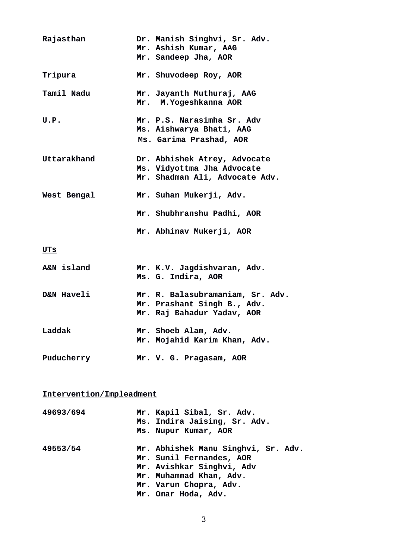| Rajasthan                | Dr. Manish Singhvi, Sr. Adv.<br>Mr. Ashish Kumar, AAG<br>Mr. Sandeep Jha, AOR                 |
|--------------------------|-----------------------------------------------------------------------------------------------|
| Tripura                  | Mr. Shuvodeep Roy, AOR                                                                        |
| <b>Tamil Nadu</b>        | Mr. Jayanth Muthuraj, AAG<br>Mr. M. Yogeshkanna AOR                                           |
| U.P.                     | Mr. P.S. Narasimha Sr. Adv<br>Ms. Aishwarya Bhati, AAG<br>Ms. Garima Prashad, AOR             |
| Uttarakhand              | Dr. Abhishek Atrey, Advocate<br>Ms. Vidyottma Jha Advocate<br>Mr. Shadman Ali, Advocate Adv.  |
| West Bengal              | Mr. Suhan Mukerji, Adv.                                                                       |
|                          | Mr. Shubhranshu Padhi, AOR                                                                    |
|                          | Mr. Abhinav Mukerji, AOR                                                                      |
| <b>UTS</b>               |                                                                                               |
| A&N island               | Mr. K.V. Jagdishvaran, Adv.<br>Ms. G. Indira, AOR                                             |
| <b>D&amp;N Haveli</b>    | Mr. R. Balasubramaniam, Sr. Adv.<br>Mr. Prashant Singh B., Adv.<br>Mr. Raj Bahadur Yadav, AOR |
| Laddak                   | Mr. Shoeb Alam, Adv.<br>Mr. Mojahid Karim Khan, Adv.                                          |
| Puducherry               | Mr. V. G. Pragasam, AOR                                                                       |
| Intervention/Impleadment |                                                                                               |
| 49693/694                | Mr. Kapil Sibal, Sr. Adv.<br>Ms. Indira Jaising, Sr. Adv.                                     |

|          | Ms. Nupur Kumar, AOR                |
|----------|-------------------------------------|
| 49553/54 | Mr. Abhishek Manu Singhvi, Sr. Adv. |
|          | Mr. Sunil Fernandes, AOR            |
|          | Mr. Avishkar Singhvi, Adv           |
|          | Mr. Muhammad Khan, Adv.             |
|          | Mr. Varun Chopra, Adv.              |
|          | Mr. Omar Hoda, Adv.                 |
|          |                                     |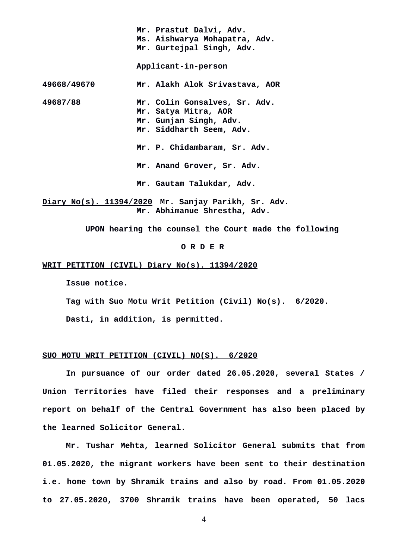**Mr. Prastut Dalvi, Adv. Ms. Aishwarya Mohapatra, Adv. Mr. Gurtejpal Singh, Adv. Applicant-in-person 49668/49670 Mr. Alakh Alok Srivastava, AOR 49687/88 Mr. Colin Gonsalves, Sr. Adv. Mr. Satya Mitra, AOR Mr. Gunjan Singh, Adv. Mr. Siddharth Seem, Adv. Mr. P. Chidambaram, Sr. Adv. Mr. Anand Grover, Sr. Adv. Mr. Gautam Talukdar, Adv. Diary No(s). 11394/2020 Mr. Sanjay Parikh, Sr. Adv. Mr. Abhimanue Shrestha, Adv.**

 **UPON hearing the counsel the Court made the following**

 **O R D E R**

## **WRIT PETITION (CIVIL) Diary No(s). 11394/2020**

**Issue notice.**

**Tag with Suo Motu Writ Petition (Civil) No(s). 6/2020.**

**Dasti, in addition, is permitted.**

## **SUO MOTU WRIT PETITION (CIVIL) NO(S). 6/2020**

**In pursuance of our order dated 26.05.2020, several States / Union Territories have filed their responses and a preliminary report on behalf of the Central Government has also been placed by the learned Solicitor General.**

**Mr. Tushar Mehta, learned Solicitor General submits that from 01.05.2020, the migrant workers have been sent to their destination i.e. home town by Shramik trains and also by road. From 01.05.2020 to 27.05.2020, 3700 Shramik trains have been operated, 50 lacs**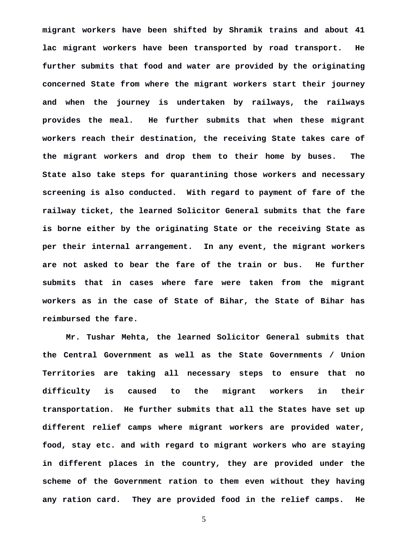**migrant workers have been shifted by Shramik trains and about 41 lac migrant workers have been transported by road transport. He further submits that food and water are provided by the originating concerned State from where the migrant workers start their journey and when the journey is undertaken by railways, the railways provides the meal. He further submits that when these migrant workers reach their destination, the receiving State takes care of the migrant workers and drop them to their home by buses. The State also take steps for quarantining those workers and necessary screening is also conducted. With regard to payment of fare of the railway ticket, the learned Solicitor General submits that the fare is borne either by the originating State or the receiving State as per their internal arrangement. In any event, the migrant workers are not asked to bear the fare of the train or bus. He further submits that in cases where fare were taken from the migrant workers as in the case of State of Bihar, the State of Bihar has reimbursed the fare.** 

**Mr. Tushar Mehta, the learned Solicitor General submits that the Central Government as well as the State Governments / Union Territories are taking all necessary steps to ensure that no difficulty is caused to the migrant workers in their transportation. He further submits that all the States have set up different relief camps where migrant workers are provided water, food, stay etc. and with regard to migrant workers who are staying in different places in the country, they are provided under the scheme of the Government ration to them even without they having any ration card. They are provided food in the relief camps. He**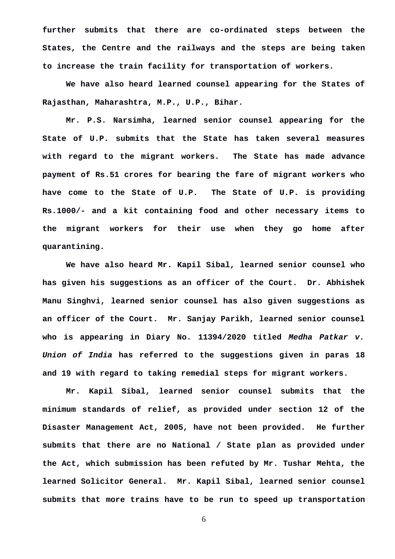**further submits that there are co-ordinated steps between the States, the Centre and the railways and the steps are being taken to increase the train facility for transportation of workers.** 

**We have also heard learned counsel appearing for the States of Rajasthan, Maharashtra, M.P., U.P., Bihar.** 

**Mr. P.S. Narsimha, learned senior counsel appearing for the State of U.P. submits that the State has taken several measures with regard to the migrant workers. The State has made advance payment of Rs.51 crores for bearing the fare of migrant workers who have come to the State of U.P. The State of U.P. is providing Rs.1000/- and a kit containing food and other necessary items to the migrant workers for their use when they go home after quarantining.** 

**We have also heard Mr. Kapil Sibal, learned senior counsel who has given his suggestions as an officer of the Court. Dr. Abhishek Manu Singhvi, learned senior counsel has also given suggestions as an officer of the Court. Mr. Sanjay Parikh, learned senior counsel who is appearing in Diary No. 11394/2020 titled** *Medha Patkar v. Union of India* **has referred to the suggestions given in paras 18 and 19 with regard to taking remedial steps for migrant workers.** 

**Mr. Kapil Sibal, learned senior counsel submits that the minimum standards of relief, as provided under section 12 of the Disaster Management Act, 2005, have not been provided. He further submits that there are no National / State plan as provided under the Act, which submission has been refuted by Mr. Tushar Mehta, the learned Solicitor General. Mr. Kapil Sibal, learned senior counsel submits that more trains have to be run to speed up transportation**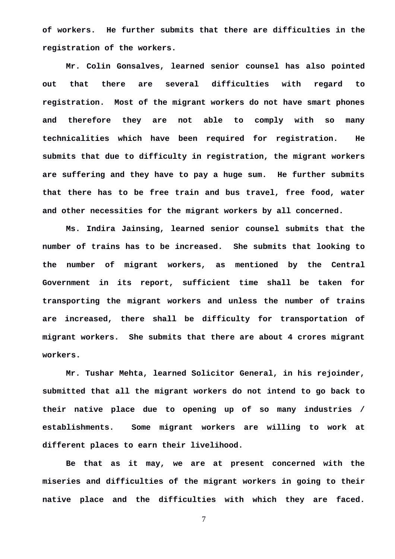**of workers. He further submits that there are difficulties in the registration of the workers.** 

**Mr. Colin Gonsalves, learned senior counsel has also pointed out that there are several difficulties with regard to registration. Most of the migrant workers do not have smart phones and therefore they are not able to comply with so many technicalities which have been required for registration. He submits that due to difficulty in registration, the migrant workers are suffering and they have to pay a huge sum. He further submits that there has to be free train and bus travel, free food, water and other necessities for the migrant workers by all concerned.**

**Ms. Indira Jainsing, learned senior counsel submits that the number of trains has to be increased. She submits that looking to the number of migrant workers, as mentioned by the Central Government in its report, sufficient time shall be taken for transporting the migrant workers and unless the number of trains are increased, there shall be difficulty for transportation of migrant workers. She submits that there are about 4 crores migrant workers.**

**Mr. Tushar Mehta, learned Solicitor General, in his rejoinder, submitted that all the migrant workers do not intend to go back to their native place due to opening up of so many industries / establishments. Some migrant workers are willing to work at different places to earn their livelihood.** 

**Be that as it may, we are at present concerned with the miseries and difficulties of the migrant workers in going to their native place and the difficulties with which they are faced.**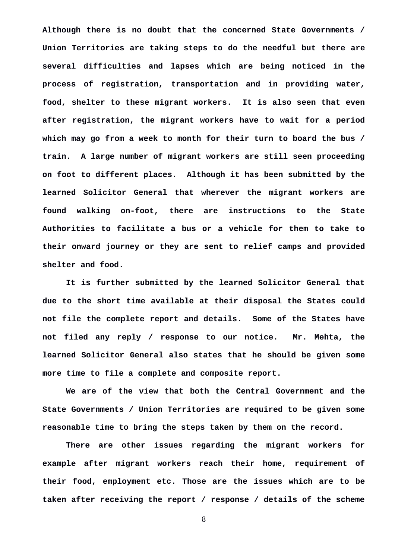**Although there is no doubt that the concerned State Governments / Union Territories are taking steps to do the needful but there are several difficulties and lapses which are being noticed in the process of registration, transportation and in providing water, food, shelter to these migrant workers. It is also seen that even after registration, the migrant workers have to wait for a period which may go from a week to month for their turn to board the bus / train. A large number of migrant workers are still seen proceeding on foot to different places. Although it has been submitted by the learned Solicitor General that wherever the migrant workers are found walking on-foot, there are instructions to the State Authorities to facilitate a bus or a vehicle for them to take to their onward journey or they are sent to relief camps and provided shelter and food.** 

**It is further submitted by the learned Solicitor General that due to the short time available at their disposal the States could not file the complete report and details. Some of the States have not filed any reply / response to our notice. Mr. Mehta, the learned Solicitor General also states that he should be given some more time to file a complete and composite report.**

**We are of the view that both the Central Government and the State Governments / Union Territories are required to be given some reasonable time to bring the steps taken by them on the record.**

**There are other issues regarding the migrant workers for example after migrant workers reach their home, requirement of their food, employment etc. Those are the issues which are to be taken after receiving the report / response / details of the scheme**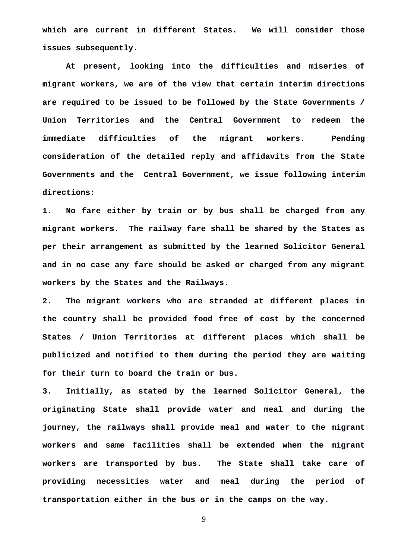**which are current in different States. We will consider those issues subsequently.**

**At present, looking into the difficulties and miseries of migrant workers, we are of the view that certain interim directions are required to be issued to be followed by the State Governments / Union Territories and the Central Government to redeem the immediate difficulties of the migrant workers. Pending consideration of the detailed reply and affidavits from the State Governments and the Central Government, we issue following interim directions:**

**1. No fare either by train or by bus shall be charged from any migrant workers. The railway fare shall be shared by the States as per their arrangement as submitted by the learned Solicitor General and in no case any fare should be asked or charged from any migrant workers by the States and the Railways.**

**2. The migrant workers who are stranded at different places in the country shall be provided food free of cost by the concerned States / Union Territories at different places which shall be publicized and notified to them during the period they are waiting for their turn to board the train or bus.**

**3. Initially, as stated by the learned Solicitor General, the originating State shall provide water and meal and during the journey, the railways shall provide meal and water to the migrant workers and same facilities shall be extended when the migrant workers are transported by bus. The State shall take care of providing necessities water and meal during the period of transportation either in the bus or in the camps on the way.**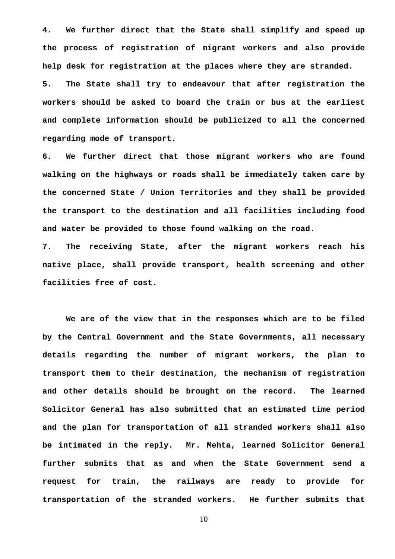**4. We further direct that the State shall simplify and speed up the process of registration of migrant workers and also provide help desk for registration at the places where they are stranded.**

**5. The State shall try to endeavour that after registration the workers should be asked to board the train or bus at the earliest and complete information should be publicized to all the concerned regarding mode of transport.**

**6. We further direct that those migrant workers who are found walking on the highways or roads shall be immediately taken care by the concerned State / Union Territories and they shall be provided the transport to the destination and all facilities including food and water be provided to those found walking on the road.**

**7. The receiving State, after the migrant workers reach his native place, shall provide transport, health screening and other facilities free of cost.**

**We are of the view that in the responses which are to be filed by the Central Government and the State Governments, all necessary details regarding the number of migrant workers, the plan to transport them to their destination, the mechanism of registration and other details should be brought on the record. The learned Solicitor General has also submitted that an estimated time period and the plan for transportation of all stranded workers shall also be intimated in the reply. Mr. Mehta, learned Solicitor General further submits that as and when the State Government send a request for train, the railways are ready to provide for transportation of the stranded workers. He further submits that**